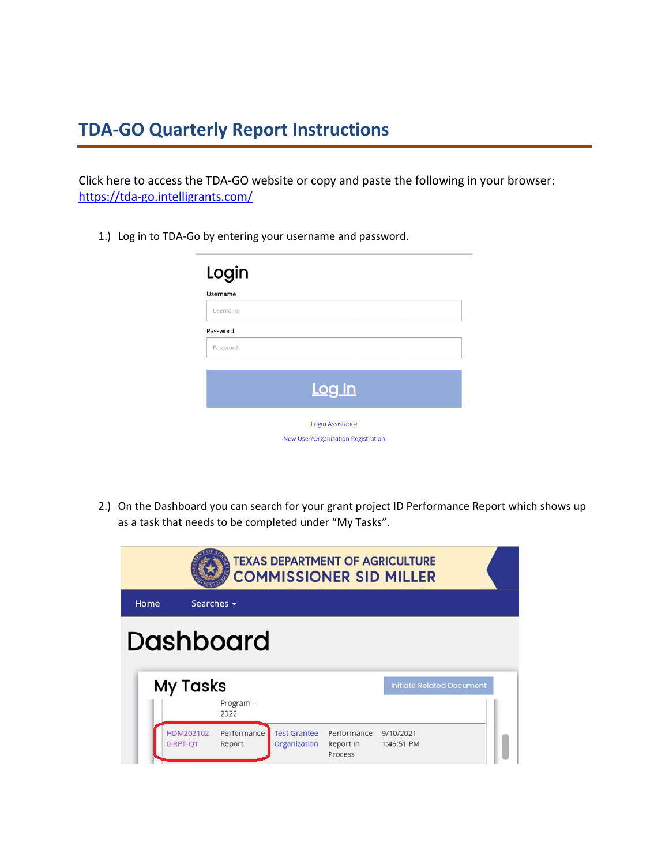# **TDA-GO Quarterly Report Instructions**

Click here to access the TDA-GO website or copy and paste the following in your browser: <https://tda-go.intelligrants.com/>

1.) Log in to TDA-Go by entering your username and password.

| Login           |                                           |
|-----------------|-------------------------------------------|
| <b>Username</b> |                                           |
| Username        |                                           |
| Password        |                                           |
| Password        |                                           |
|                 |                                           |
|                 | Log In                                    |
|                 | Login Assistance                          |
|                 | <b>New User/Organization Registration</b> |

2.) On the Dashboard you can search for your grant project ID Performance Report which shows up as a task that needs to be completed under "My Tasks".

|      |                       |                       |                                     |                                     | <b>TEXAS DEPARTMENT OF AGRICULTURE</b><br><b>COMMISSIONER SID MILLER</b> |  |
|------|-----------------------|-----------------------|-------------------------------------|-------------------------------------|--------------------------------------------------------------------------|--|
| Home | Searches $\star$      |                       |                                     |                                     |                                                                          |  |
|      | <b>Dashboard</b>      |                       |                                     |                                     |                                                                          |  |
|      | <b>My Tasks</b>       | Program -<br>2022     |                                     |                                     | <b>Initiate Related Document</b>                                         |  |
|      | HDM202102<br>0-RPT-O1 | Performance<br>Report | <b>Test Grantee</b><br>Organization | Performance<br>Report In<br>Process | 9/10/2021<br>1:46:51 PM                                                  |  |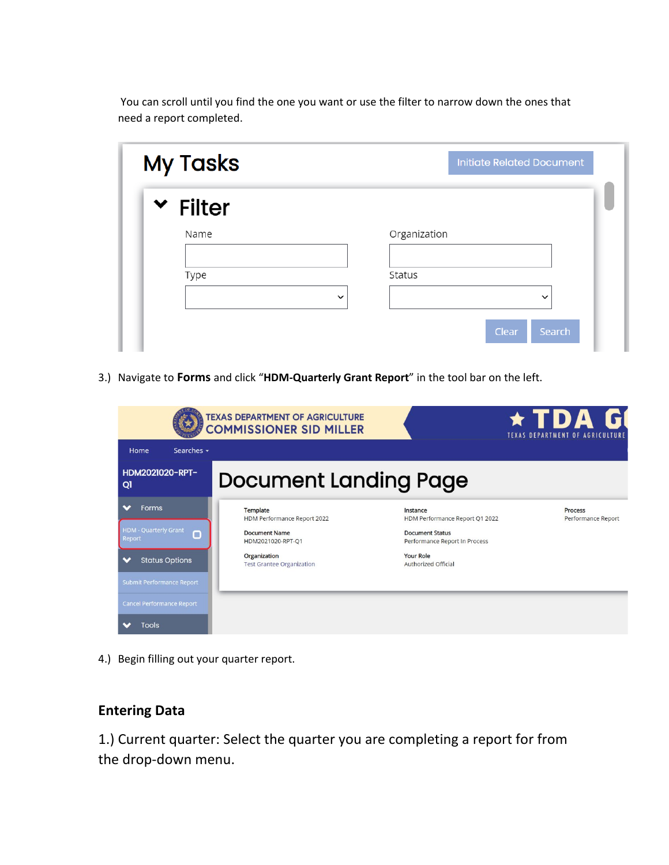You can scroll until you find the one you want or use the filter to narrow down the ones that need a report completed.

| <b>Initiate Related Document</b> |
|----------------------------------|
|                                  |
| Organization                     |
| Status                           |
| $\checkmark$<br>$\checkmark$     |
|                                  |

3.) Navigate to **Forms** and click "**HDM-Quarterly Grant Report**" in the tool bar on the left.

| <b>TEXAS DEPARTMENT OF AGRICULTURE</b><br><b>COMMISSIONER SID MILLER</b> |            |                                                  |                                                         | ★ TDA G<br><b>TEXAS DEPARTMENT OF AGRICULTURE</b> |
|--------------------------------------------------------------------------|------------|--------------------------------------------------|---------------------------------------------------------|---------------------------------------------------|
| Home                                                                     | Searches - |                                                  |                                                         |                                                   |
| HDM2021020-RPT-<br>QI                                                    |            | <b>Document Landing Page</b>                     |                                                         |                                                   |
| Forms                                                                    |            | Template<br>HDM Performance Report 2022          | Instance<br>HDM Performance Report Q1 2022              | <b>Process</b><br>Performance Report              |
| HDM - Quarterly Grant<br>Report                                          | п          | <b>Document Name</b><br>HDM2021020-RPT-Q1        | <b>Document Status</b><br>Performance Report In Process |                                                   |
| <b>Status Options</b>                                                    |            | Organization<br><b>Test Grantee Organization</b> | <b>Your Role</b><br>Authorized Official                 |                                                   |
| Submit Performance Report                                                |            |                                                  |                                                         |                                                   |
| <b>Cancel Performance Report</b>                                         |            |                                                  |                                                         |                                                   |
| <b>Tools</b>                                                             |            |                                                  |                                                         |                                                   |

4.) Begin filling out your quarter report.

### **Entering Data**

1.) Current quarter: Select the quarter you are completing a report for from the drop-down menu.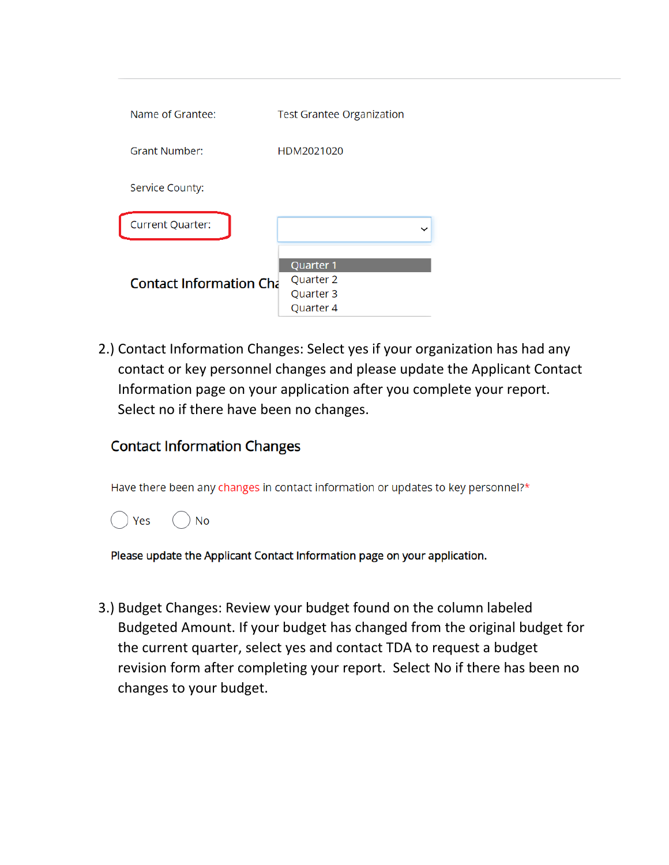| Name of Grantee:               | <b>Test Grantee Organization</b>                            |  |  |
|--------------------------------|-------------------------------------------------------------|--|--|
| <b>Grant Number:</b>           | HDM2021020                                                  |  |  |
| Service County:                |                                                             |  |  |
| <b>Current Quarter:</b>        |                                                             |  |  |
| <b>Contact Information Cha</b> | Quarter <sub>1</sub><br>Quarter 2<br>Quarter 3<br>Quarter 4 |  |  |

2.) Contact Information Changes: Select yes if your organization has had any contact or key personnel changes and please update the Applicant Contact Information page on your application after you complete your report. Select no if there have been no changes.

## **Contact Information Changes**

Have there been any changes in contact information or updates to key personnel?\*



Please update the Applicant Contact Information page on your application.

3.) Budget Changes: Review your budget found on the column labeled Budgeted Amount. If your budget has changed from the original budget for the current quarter, select yes and contact TDA to request a budget revision form after completing your report. Select No if there has been no changes to your budget.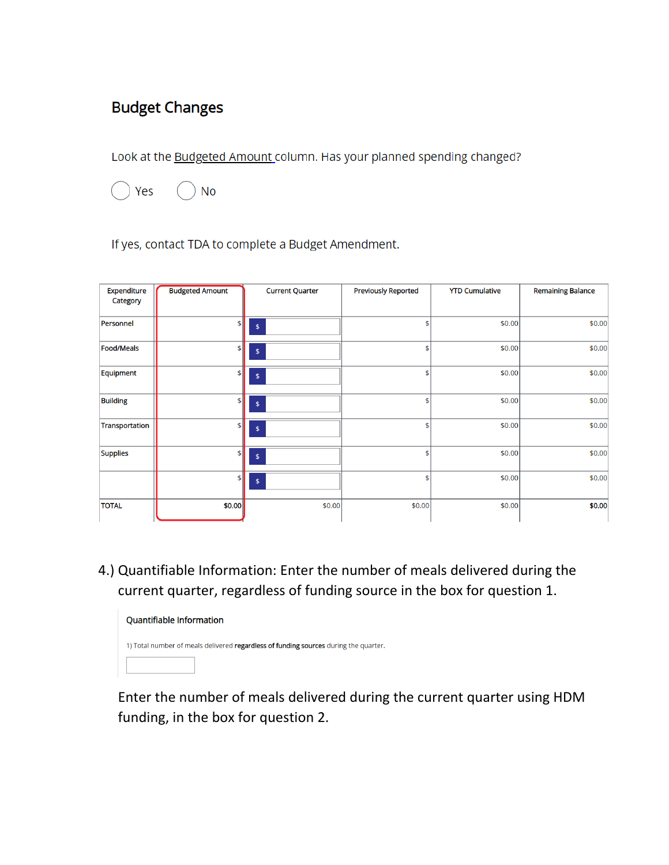## **Budget Changes**

Look at the Budgeted Amount column. Has your planned spending changed?

![](_page_3_Picture_2.jpeg)

If yes, contact TDA to complete a Budget Amendment.

| Expenditure<br>Category | <b>Budgeted Amount</b>       | <b>Current Quarter</b> | <b>Previously Reported</b> | <b>YTD Cumulative</b> | <b>Remaining Balance</b> |
|-------------------------|------------------------------|------------------------|----------------------------|-----------------------|--------------------------|
| Personnel               | \$                           | $\,$                   | \$                         | \$0.00                | \$0.00                   |
| <b>Food/Meals</b>       | $\vert$                      | \$                     | \$                         | \$0.00                | \$0.00                   |
| Equipment               | $\left  \frac{4}{2} \right $ | $\pmb{\mathsf{\$}}$    | \$                         | \$0.00                | \$0.00                   |
| <b>Building</b>         | $\vert$                      | $\,$                   | \$                         | \$0.00                | \$0.00                   |
| Transportation          | $\vert$                      | $\,$                   | \$                         | \$0.00                | \$0.00                   |
| <b>Supplies</b>         | \$                           | $\pmb{\mathsf{\$}}$    | \$                         | \$0.00                | \$0.00                   |
|                         | $\left  \mathbf{F} \right $  | $\,$ $\,$              | \$                         | \$0.00                | \$0.00                   |
| <b>TOTAL</b>            | \$0.00                       | \$0.00                 | \$0.00                     | \$0.00                | \$0.00                   |

4.) Quantifiable Information: Enter the number of meals delivered during the current quarter, regardless of funding source in the box for question 1.

![](_page_3_Picture_6.jpeg)

Enter the number of meals delivered during the current quarter using HDM funding, in the box for question 2.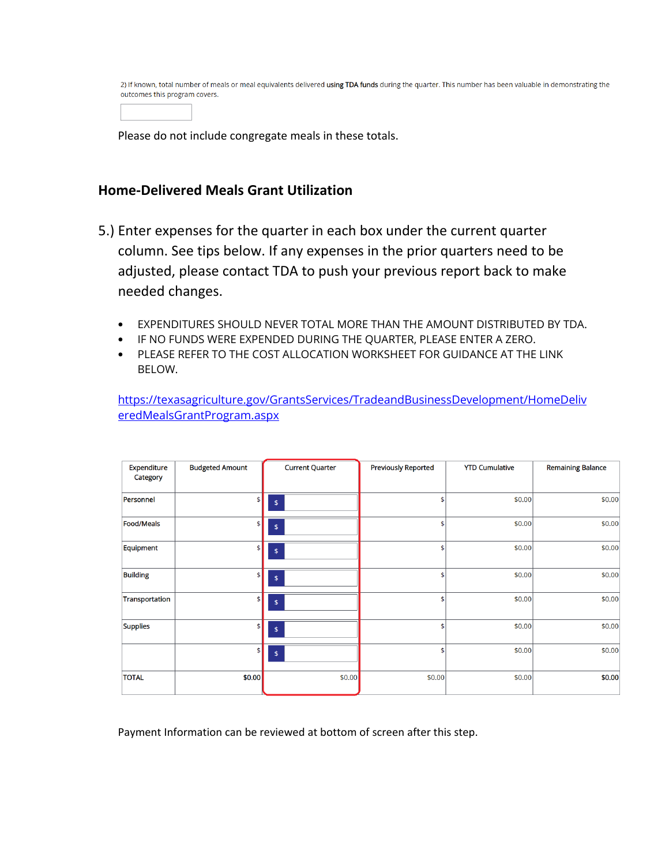2) If known, total number of meals or meal equivalents delivered using TDA funds during the quarter. This number has been valuable in demonstrating the outcomes this program covers.

Please do not include congregate meals in these totals.

#### **Home-Delivered Meals Grant Utilization**

- 5.) Enter expenses for the quarter in each box under the current quarter column. See tips below. If any expenses in the prior quarters need to be adjusted, please contact TDA to push your previous report back to make needed changes.
	- EXPENDITURES SHOULD NEVER TOTAL MORE THAN THE AMOUNT DISTRIBUTED BY TDA.
	- IF NO FUNDS WERE EXPENDED DURING THE QUARTER, PLEASE ENTER A ZERO.
	- PLEASE REFER TO THE COST ALLOCATION WORKSHEET FOR GUIDANCE AT THE LINK BELOW.

[https://texasagriculture.gov/GrantsServices/TradeandBusinessDevelopment/HomeDeliv](https://texasagriculture.gov/GrantsServices/TradeandBusinessDevelopment/HomeDeliveredMealsGrantProgram.aspx) [eredMealsGrantProgram.aspx](https://texasagriculture.gov/GrantsServices/TradeandBusinessDevelopment/HomeDeliveredMealsGrantProgram.aspx)

| Expenditure<br>Category | <b>Budgeted Amount</b> | <b>Current Quarter</b> | <b>Previously Reported</b> | <b>YTD Cumulative</b> | <b>Remaining Balance</b> |
|-------------------------|------------------------|------------------------|----------------------------|-----------------------|--------------------------|
| Personnel               | \$                     | \$                     | \$                         | \$0.00                | \$0.00                   |
| <b>Food/Meals</b>       | \$                     | \$                     | \$                         | \$0.00                | \$0.00                   |
| Equipment               | \$                     | \$                     | \$                         | \$0.00                | \$0.00                   |
| <b>Building</b>         | \$                     | \$                     | \$                         | \$0.00                | \$0.00                   |
| Transportation          | \$                     | \$                     | \$                         | \$0.00                | \$0.00                   |
| <b>Supplies</b>         | \$                     | $\,$                   | \$                         | \$0.00                | \$0.00                   |
|                         | \$                     | \$                     | \$                         | \$0.00                | \$0.00                   |
| <b>TOTAL</b>            | \$0.00                 | \$0.00                 | \$0.00                     | \$0.00                | \$0.00                   |

Payment Information can be reviewed at bottom of screen after this step.